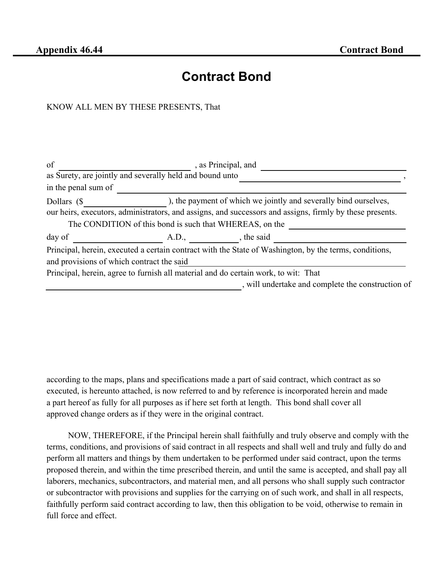## **Contract Bond**

## KNOW ALL MEN BY THESE PRESENTS, That

| of                                                       |                                                         | , as Principal, and                                                                                                                                                          |  |
|----------------------------------------------------------|---------------------------------------------------------|------------------------------------------------------------------------------------------------------------------------------------------------------------------------------|--|
| as Surety, are jointly and severally held and bound unto |                                                         |                                                                                                                                                                              |  |
| in the penal sum of                                      |                                                         |                                                                                                                                                                              |  |
| Dollars (\$                                              | The CONDITION of this bond is such that WHEREAS, on the | ), the payment of which we jointly and severally bind ourselves,<br>our heirs, executors, administrators, and assigns, and successors and assigns, firmly by these presents. |  |
| day of                                                   | A.D., the said                                          |                                                                                                                                                                              |  |
| and provisions of which contract the said                |                                                         | Principal, herein, executed a certain contract with the State of Washington, by the terms, conditions,                                                                       |  |
|                                                          |                                                         | Principal, herein, agree to furnish all material and do certain work, to wit: That                                                                                           |  |
|                                                          |                                                         | , will undertake and complete the construction of                                                                                                                            |  |

according to the maps, plans and specifications made a part of said contract, which contract as so executed, is hereunto attached, is now referred to and by reference is incorporated herein and made a part hereof as fully for all purposes as if here set forth at length. This bond shall cover all approved change orders as if they were in the original contract.

NOW, THEREFORE, if the Principal herein shall faithfully and truly observe and comply with the terms, conditions, and provisions of said contract in all respects and shall well and truly and fully do and perform all matters and things by them undertaken to be performed under said contract, upon the terms proposed therein, and within the time prescribed therein, and until the same is accepted, and shall pay all laborers, mechanics, subcontractors, and material men, and all persons who shall supply such contractor or subcontractor with provisions and supplies for the carrying on of such work, and shall in all respects, faithfully perform said contract according to law, then this obligation to be void, otherwise to remain in full force and effect.